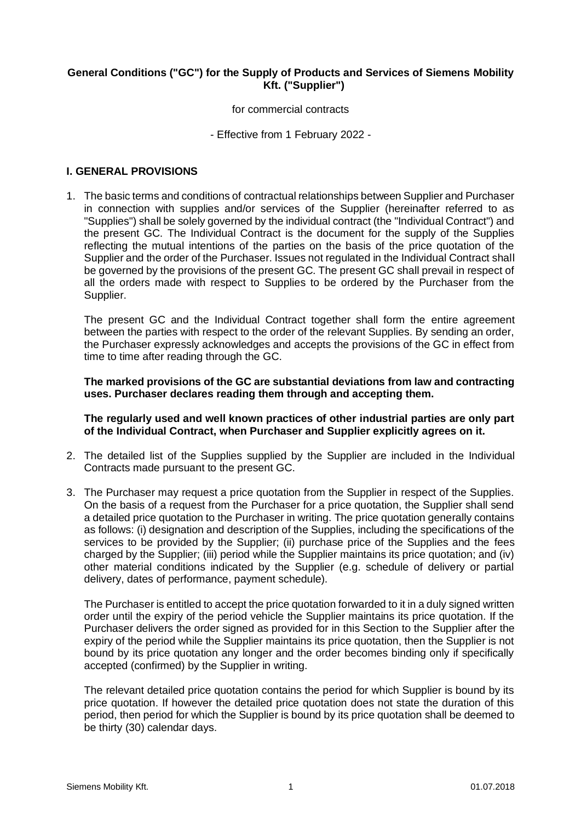# **General Conditions ("GC") for the Supply of Products and Services of Siemens Mobility Kft. ("Supplier")**

for commercial contracts

- Effective from 1 February 2022 -

### **I. GENERAL PROVISIONS**

1. The basic terms and conditions of contractual relationships between Supplier and Purchaser in connection with supplies and/or services of the Supplier (hereinafter referred to as "Supplies") shall be solely governed by the individual contract (the "Individual Contract") and the present GC. The Individual Contract is the document for the supply of the Supplies reflecting the mutual intentions of the parties on the basis of the price quotation of the Supplier and the order of the Purchaser. Issues not regulated in the Individual Contract shall be governed by the provisions of the present GC. The present GC shall prevail in respect of all the orders made with respect to Supplies to be ordered by the Purchaser from the Supplier.

The present GC and the Individual Contract together shall form the entire agreement between the parties with respect to the order of the relevant Supplies. By sending an order, the Purchaser expressly acknowledges and accepts the provisions of the GC in effect from time to time after reading through the GC.

**The marked provisions of the GC are substantial deviations from law and contracting uses. Purchaser declares reading them through and accepting them.** 

**The regularly used and well known practices of other industrial parties are only part of the Individual Contract, when Purchaser and Supplier explicitly agrees on it.** 

- 2. The detailed list of the Supplies supplied by the Supplier are included in the Individual Contracts made pursuant to the present GC.
- 3. The Purchaser may request a price quotation from the Supplier in respect of the Supplies. On the basis of a request from the Purchaser for a price quotation, the Supplier shall send a detailed price quotation to the Purchaser in writing. The price quotation generally contains as follows: (i) designation and description of the Supplies, including the specifications of the services to be provided by the Supplier; (ii) purchase price of the Supplies and the fees charged by the Supplier; (iii) period while the Supplier maintains its price quotation; and (iv) other material conditions indicated by the Supplier (e.g. schedule of delivery or partial delivery, dates of performance, payment schedule).

The Purchaser is entitled to accept the price quotation forwarded to it in a duly signed written order until the expiry of the period vehicle the Supplier maintains its price quotation. If the Purchaser delivers the order signed as provided for in this Section to the Supplier after the expiry of the period while the Supplier maintains its price quotation, then the Supplier is not bound by its price quotation any longer and the order becomes binding only if specifically accepted (confirmed) by the Supplier in writing.

The relevant detailed price quotation contains the period for which Supplier is bound by its price quotation. If however the detailed price quotation does not state the duration of this period, then period for which the Supplier is bound by its price quotation shall be deemed to be thirty (30) calendar days.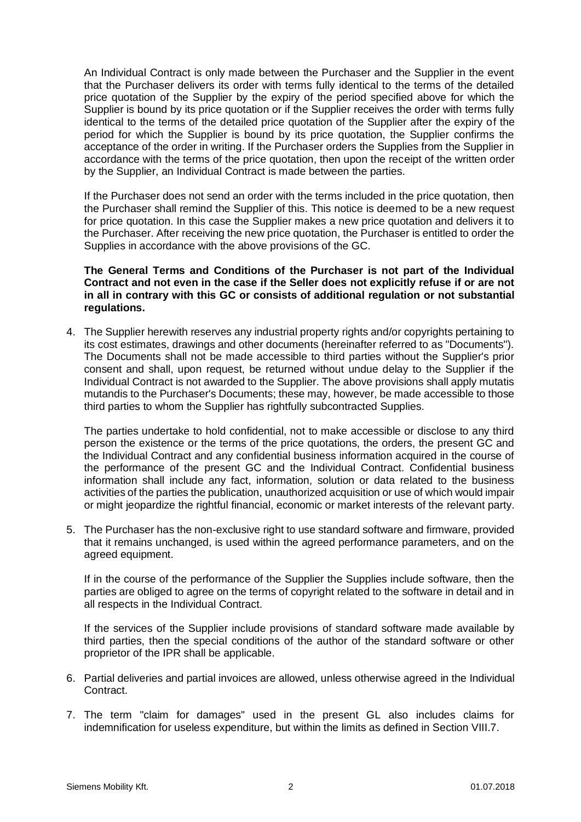An Individual Contract is only made between the Purchaser and the Supplier in the event that the Purchaser delivers its order with terms fully identical to the terms of the detailed price quotation of the Supplier by the expiry of the period specified above for which the Supplier is bound by its price quotation or if the Supplier receives the order with terms fully identical to the terms of the detailed price quotation of the Supplier after the expiry of the period for which the Supplier is bound by its price quotation, the Supplier confirms the acceptance of the order in writing. If the Purchaser orders the Supplies from the Supplier in accordance with the terms of the price quotation, then upon the receipt of the written order by the Supplier, an Individual Contract is made between the parties.

If the Purchaser does not send an order with the terms included in the price quotation, then the Purchaser shall remind the Supplier of this. This notice is deemed to be a new request for price quotation. In this case the Supplier makes a new price quotation and delivers it to the Purchaser. After receiving the new price quotation, the Purchaser is entitled to order the Supplies in accordance with the above provisions of the GC.

**The General Terms and Conditions of the Purchaser is not part of the Individual Contract and not even in the case if the Seller does not explicitly refuse if or are not in all in contrary with this GC or consists of additional regulation or not substantial regulations.**

4. The Supplier herewith reserves any industrial property rights and/or copyrights pertaining to its cost estimates, drawings and other documents (hereinafter referred to as "Documents"). The Documents shall not be made accessible to third parties without the Supplier's prior consent and shall, upon request, be returned without undue delay to the Supplier if the Individual Contract is not awarded to the Supplier. The above provisions shall apply mutatis mutandis to the Purchaser's Documents; these may, however, be made accessible to those third parties to whom the Supplier has rightfully subcontracted Supplies.

The parties undertake to hold confidential, not to make accessible or disclose to any third person the existence or the terms of the price quotations, the orders, the present GC and the Individual Contract and any confidential business information acquired in the course of the performance of the present GC and the Individual Contract. Confidential business information shall include any fact, information, solution or data related to the business activities of the parties the publication, unauthorized acquisition or use of which would impair or might jeopardize the rightful financial, economic or market interests of the relevant party.

5. The Purchaser has the non-exclusive right to use standard software and firmware, provided that it remains unchanged, is used within the agreed performance parameters, and on the agreed equipment.

If in the course of the performance of the Supplier the Supplies include software, then the parties are obliged to agree on the terms of copyright related to the software in detail and in all respects in the Individual Contract.

If the services of the Supplier include provisions of standard software made available by third parties, then the special conditions of the author of the standard software or other proprietor of the IPR shall be applicable.

- 6. Partial deliveries and partial invoices are allowed, unless otherwise agreed in the Individual Contract.
- 7. The term "claim for damages" used in the present GL also includes claims for indemnification for useless expenditure, but within the limits as defined in Section VIII.7.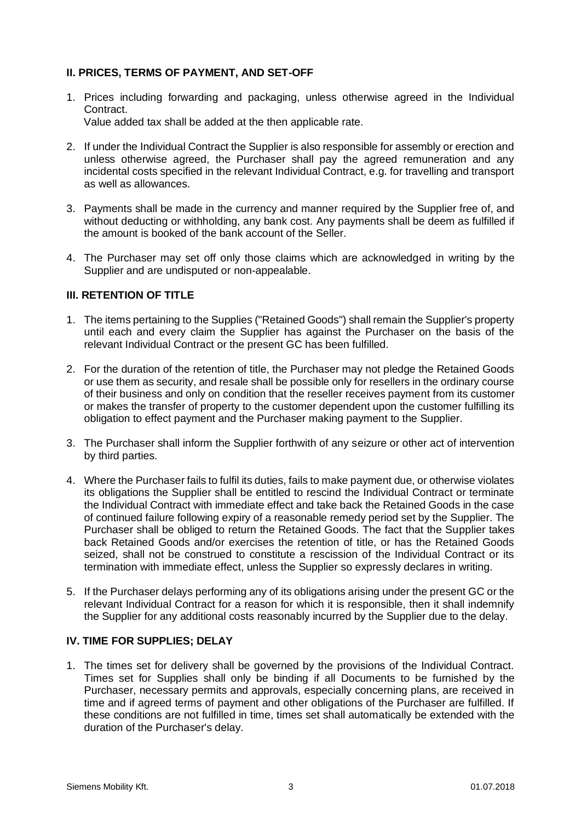# **II. PRICES, TERMS OF PAYMENT, AND SET-OFF**

- 1. Prices including forwarding and packaging, unless otherwise agreed in the Individual Contract. Value added tax shall be added at the then applicable rate.
- 2. If under the Individual Contract the Supplier is also responsible for assembly or erection and unless otherwise agreed, the Purchaser shall pay the agreed remuneration and any incidental costs specified in the relevant Individual Contract, e.g. for travelling and transport as well as allowances.
- 3. Payments shall be made in the currency and manner required by the Supplier free of, and without deducting or withholding, any bank cost. Any payments shall be deem as fulfilled if the amount is booked of the bank account of the Seller.
- 4. The Purchaser may set off only those claims which are acknowledged in writing by the Supplier and are undisputed or non-appealable.

# **III. RETENTION OF TITLE**

- 1. The items pertaining to the Supplies ("Retained Goods") shall remain the Supplier's property until each and every claim the Supplier has against the Purchaser on the basis of the relevant Individual Contract or the present GC has been fulfilled.
- 2. For the duration of the retention of title, the Purchaser may not pledge the Retained Goods or use them as security, and resale shall be possible only for resellers in the ordinary course of their business and only on condition that the reseller receives payment from its customer or makes the transfer of property to the customer dependent upon the customer fulfilling its obligation to effect payment and the Purchaser making payment to the Supplier.
- 3. The Purchaser shall inform the Supplier forthwith of any seizure or other act of intervention by third parties.
- 4. Where the Purchaser fails to fulfil its duties, fails to make payment due, or otherwise violates its obligations the Supplier shall be entitled to rescind the Individual Contract or terminate the Individual Contract with immediate effect and take back the Retained Goods in the case of continued failure following expiry of a reasonable remedy period set by the Supplier. The Purchaser shall be obliged to return the Retained Goods. The fact that the Supplier takes back Retained Goods and/or exercises the retention of title, or has the Retained Goods seized, shall not be construed to constitute a rescission of the Individual Contract or its termination with immediate effect, unless the Supplier so expressly declares in writing.
- 5. If the Purchaser delays performing any of its obligations arising under the present GC or the relevant Individual Contract for a reason for which it is responsible, then it shall indemnify the Supplier for any additional costs reasonably incurred by the Supplier due to the delay.

# **IV. TIME FOR SUPPLIES; DELAY**

1. The times set for delivery shall be governed by the provisions of the Individual Contract. Times set for Supplies shall only be binding if all Documents to be furnished by the Purchaser, necessary permits and approvals, especially concerning plans, are received in time and if agreed terms of payment and other obligations of the Purchaser are fulfilled. If these conditions are not fulfilled in time, times set shall automatically be extended with the duration of the Purchaser's delay.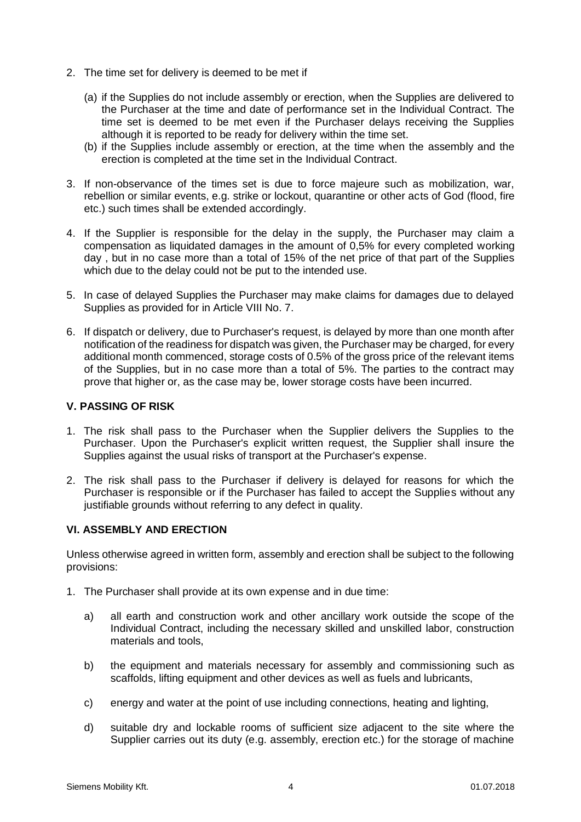- 2. The time set for delivery is deemed to be met if
	- (a) if the Supplies do not include assembly or erection, when the Supplies are delivered to the Purchaser at the time and date of performance set in the Individual Contract. The time set is deemed to be met even if the Purchaser delays receiving the Supplies although it is reported to be ready for delivery within the time set.
	- (b) if the Supplies include assembly or erection, at the time when the assembly and the erection is completed at the time set in the Individual Contract.
- 3. If non-observance of the times set is due to force majeure such as mobilization, war, rebellion or similar events, e.g. strike or lockout, quarantine or other acts of God (flood, fire etc.) such times shall be extended accordingly.
- 4. If the Supplier is responsible for the delay in the supply, the Purchaser may claim a compensation as liquidated damages in the amount of 0,5% for every completed working day , but in no case more than a total of 15% of the net price of that part of the Supplies which due to the delay could not be put to the intended use.
- 5. In case of delayed Supplies the Purchaser may make claims for damages due to delayed Supplies as provided for in Article VIII No. 7.
- 6. If dispatch or delivery, due to Purchaser's request, is delayed by more than one month after notification of the readiness for dispatch was given, the Purchaser may be charged, for every additional month commenced, storage costs of 0.5% of the gross price of the relevant items of the Supplies, but in no case more than a total of 5%. The parties to the contract may prove that higher or, as the case may be, lower storage costs have been incurred.

### **V. PASSING OF RISK**

- 1. The risk shall pass to the Purchaser when the Supplier delivers the Supplies to the Purchaser. Upon the Purchaser's explicit written request, the Supplier shall insure the Supplies against the usual risks of transport at the Purchaser's expense.
- 2. The risk shall pass to the Purchaser if delivery is delayed for reasons for which the Purchaser is responsible or if the Purchaser has failed to accept the Supplies without any justifiable grounds without referring to any defect in quality.

# **VI. ASSEMBLY AND ERECTION**

Unless otherwise agreed in written form, assembly and erection shall be subject to the following provisions:

- 1. The Purchaser shall provide at its own expense and in due time:
	- a) all earth and construction work and other ancillary work outside the scope of the Individual Contract, including the necessary skilled and unskilled labor, construction materials and tools,
	- b) the equipment and materials necessary for assembly and commissioning such as scaffolds, lifting equipment and other devices as well as fuels and lubricants,
	- c) energy and water at the point of use including connections, heating and lighting,
	- d) suitable dry and lockable rooms of sufficient size adjacent to the site where the Supplier carries out its duty (e.g. assembly, erection etc.) for the storage of machine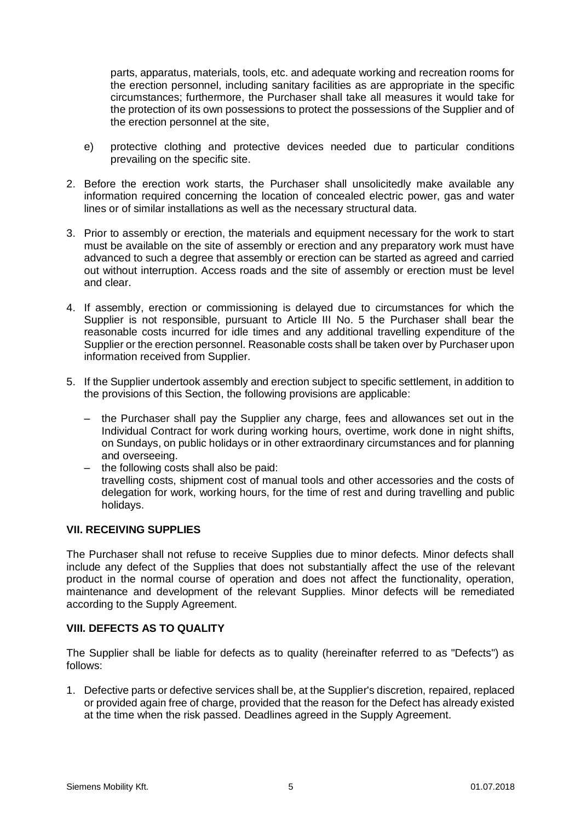parts, apparatus, materials, tools, etc. and adequate working and recreation rooms for the erection personnel, including sanitary facilities as are appropriate in the specific circumstances; furthermore, the Purchaser shall take all measures it would take for the protection of its own possessions to protect the possessions of the Supplier and of the erection personnel at the site,

- e) protective clothing and protective devices needed due to particular conditions prevailing on the specific site.
- 2. Before the erection work starts, the Purchaser shall unsolicitedly make available any information required concerning the location of concealed electric power, gas and water lines or of similar installations as well as the necessary structural data.
- 3. Prior to assembly or erection, the materials and equipment necessary for the work to start must be available on the site of assembly or erection and any preparatory work must have advanced to such a degree that assembly or erection can be started as agreed and carried out without interruption. Access roads and the site of assembly or erection must be level and clear.
- 4. If assembly, erection or commissioning is delayed due to circumstances for which the Supplier is not responsible, pursuant to Article III No. 5 the Purchaser shall bear the reasonable costs incurred for idle times and any additional travelling expenditure of the Supplier or the erection personnel. Reasonable costs shall be taken over by Purchaser upon information received from Supplier.
- 5. If the Supplier undertook assembly and erection subject to specific settlement, in addition to the provisions of this Section, the following provisions are applicable:
	- the Purchaser shall pay the Supplier any charge, fees and allowances set out in the Individual Contract for work during working hours, overtime, work done in night shifts, on Sundays, on public holidays or in other extraordinary circumstances and for planning and overseeing.
	- the following costs shall also be paid: travelling costs, shipment cost of manual tools and other accessories and the costs of delegation for work, working hours, for the time of rest and during travelling and public holidays.

# **VII. RECEIVING SUPPLIES**

The Purchaser shall not refuse to receive Supplies due to minor defects. Minor defects shall include any defect of the Supplies that does not substantially affect the use of the relevant product in the normal course of operation and does not affect the functionality, operation, maintenance and development of the relevant Supplies. Minor defects will be remediated according to the Supply Agreement.

# **VIII. DEFECTS AS TO QUALITY**

The Supplier shall be liable for defects as to quality (hereinafter referred to as "Defects") as follows:

1. Defective parts or defective services shall be, at the Supplier's discretion, repaired, replaced or provided again free of charge, provided that the reason for the Defect has already existed at the time when the risk passed. Deadlines agreed in the Supply Agreement.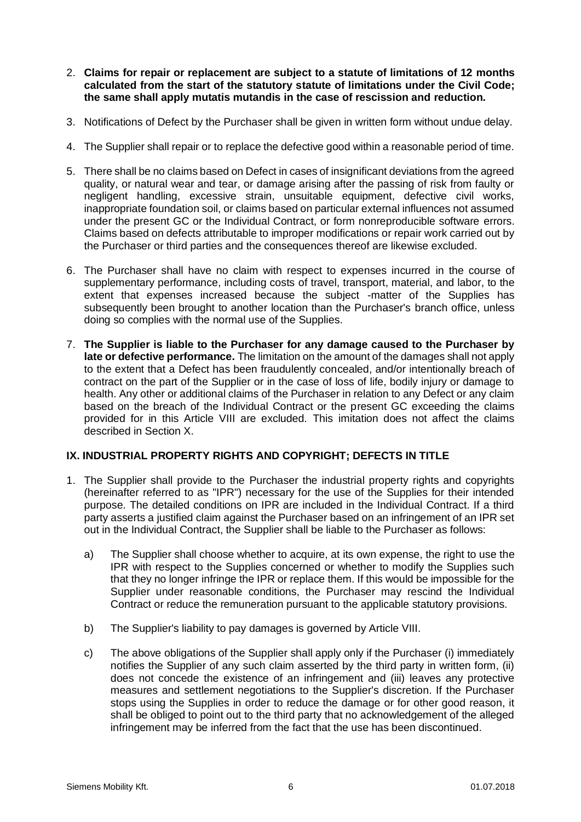- 2. **Claims for repair or replacement are subject to a statute of limitations of 12 months calculated from the start of the statutory statute of limitations under the Civil Code; the same shall apply mutatis mutandis in the case of rescission and reduction.**
- 3. Notifications of Defect by the Purchaser shall be given in written form without undue delay.
- 4. The Supplier shall repair or to replace the defective good within a reasonable period of time.
- 5. There shall be no claims based on Defect in cases of insignificant deviations from the agreed quality, or natural wear and tear, or damage arising after the passing of risk from faulty or negligent handling, excessive strain, unsuitable equipment, defective civil works, inappropriate foundation soil, or claims based on particular external influences not assumed under the present GC or the Individual Contract, or form nonreproducible software errors. Claims based on defects attributable to improper modifications or repair work carried out by the Purchaser or third parties and the consequences thereof are likewise excluded.
- 6. The Purchaser shall have no claim with respect to expenses incurred in the course of supplementary performance, including costs of travel, transport, material, and labor, to the extent that expenses increased because the subject -matter of the Supplies has subsequently been brought to another location than the Purchaser's branch office, unless doing so complies with the normal use of the Supplies.
- 7. **The Supplier is liable to the Purchaser for any damage caused to the Purchaser by late or defective performance.** The limitation on the amount of the damages shall not apply to the extent that a Defect has been fraudulently concealed, and/or intentionally breach of contract on the part of the Supplier or in the case of loss of life, bodily injury or damage to health. Any other or additional claims of the Purchaser in relation to any Defect or any claim based on the breach of the Individual Contract or the present GC exceeding the claims provided for in this Article VIII are excluded. This imitation does not affect the claims described in Section X.

# **IX. INDUSTRIAL PROPERTY RIGHTS AND COPYRIGHT; DEFECTS IN TITLE**

- 1. The Supplier shall provide to the Purchaser the industrial property rights and copyrights (hereinafter referred to as "IPR") necessary for the use of the Supplies for their intended purpose. The detailed conditions on IPR are included in the Individual Contract. If a third party asserts a justified claim against the Purchaser based on an infringement of an IPR set out in the Individual Contract, the Supplier shall be liable to the Purchaser as follows:
	- a) The Supplier shall choose whether to acquire, at its own expense, the right to use the IPR with respect to the Supplies concerned or whether to modify the Supplies such that they no longer infringe the IPR or replace them. If this would be impossible for the Supplier under reasonable conditions, the Purchaser may rescind the Individual Contract or reduce the remuneration pursuant to the applicable statutory provisions.
	- b) The Supplier's liability to pay damages is governed by Article VIII.
	- c) The above obligations of the Supplier shall apply only if the Purchaser (i) immediately notifies the Supplier of any such claim asserted by the third party in written form, (ii) does not concede the existence of an infringement and (iii) leaves any protective measures and settlement negotiations to the Supplier's discretion. If the Purchaser stops using the Supplies in order to reduce the damage or for other good reason, it shall be obliged to point out to the third party that no acknowledgement of the alleged infringement may be inferred from the fact that the use has been discontinued.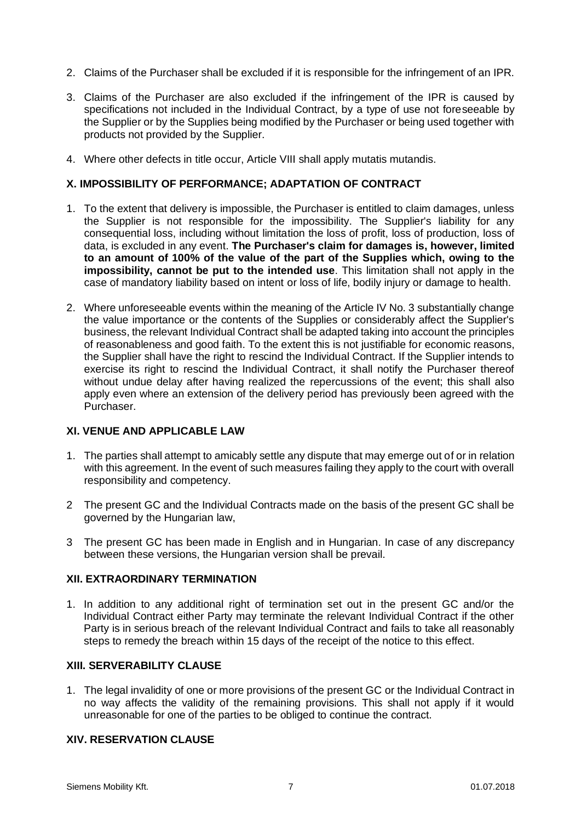- 2. Claims of the Purchaser shall be excluded if it is responsible for the infringement of an IPR.
- 3. Claims of the Purchaser are also excluded if the infringement of the IPR is caused by specifications not included in the Individual Contract, by a type of use not foreseeable by the Supplier or by the Supplies being modified by the Purchaser or being used together with products not provided by the Supplier.
- 4. Where other defects in title occur, Article VIII shall apply mutatis mutandis.

#### **X. IMPOSSIBILITY OF PERFORMANCE; ADAPTATION OF CONTRACT**

- 1. To the extent that delivery is impossible, the Purchaser is entitled to claim damages, unless the Supplier is not responsible for the impossibility. The Supplier's liability for any consequential loss, including without limitation the loss of profit, loss of production, loss of data, is excluded in any event. **The Purchaser's claim for damages is, however, limited to an amount of 100% of the value of the part of the Supplies which, owing to the impossibility, cannot be put to the intended use**. This limitation shall not apply in the case of mandatory liability based on intent or loss of life, bodily injury or damage to health.
- 2. Where unforeseeable events within the meaning of the Article IV No. 3 substantially change the value importance or the contents of the Supplies or considerably affect the Supplier's business, the relevant Individual Contract shall be adapted taking into account the principles of reasonableness and good faith. To the extent this is not justifiable for economic reasons, the Supplier shall have the right to rescind the Individual Contract. If the Supplier intends to exercise its right to rescind the Individual Contract, it shall notify the Purchaser thereof without undue delay after having realized the repercussions of the event; this shall also apply even where an extension of the delivery period has previously been agreed with the Purchaser.

#### **XI. VENUE AND APPLICABLE LAW**

- 1. The parties shall attempt to amicably settle any dispute that may emerge out of or in relation with this agreement. In the event of such measures failing they apply to the court with overall responsibility and competency.
- 2 The present GC and the Individual Contracts made on the basis of the present GC shall be governed by the Hungarian law,
- 3 The present GC has been made in English and in Hungarian. In case of any discrepancy between these versions, the Hungarian version shall be prevail.

#### **XII. EXTRAORDINARY TERMINATION**

1. In addition to any additional right of termination set out in the present GC and/or the Individual Contract either Party may terminate the relevant Individual Contract if the other Party is in serious breach of the relevant Individual Contract and fails to take all reasonably steps to remedy the breach within 15 days of the receipt of the notice to this effect.

#### **XIII. SERVERABILITY CLAUSE**

1. The legal invalidity of one or more provisions of the present GC or the Individual Contract in no way affects the validity of the remaining provisions. This shall not apply if it would unreasonable for one of the parties to be obliged to continue the contract.

#### **XIV. RESERVATION CLAUSE**